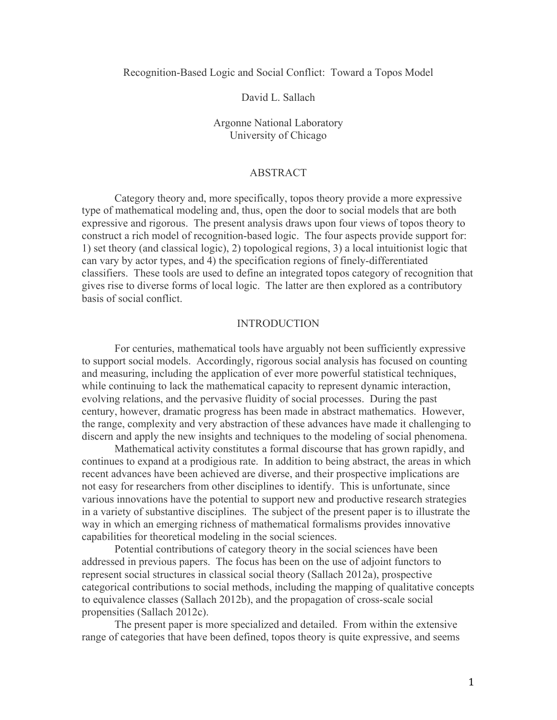Recognition-Based Logic and Social Conflict: Toward a Topos Model

David L. Sallach

Argonne National Laboratory University of Chicago

#### ABSTRACT

Category theory and, more specifically, topos theory provide a more expressive type of mathematical modeling and, thus, open the door to social models that are both expressive and rigorous. The present analysis draws upon four views of topos theory to construct a rich model of recognition-based logic. The four aspects provide support for: 1) set theory (and classical logic), 2) topological regions, 3) a local intuitionist logic that can vary by actor types, and 4) the specification regions of finely-differentiated classifiers. These tools are used to define an integrated topos category of recognition that gives rise to diverse forms of local logic. The latter are then explored as a contributory basis of social conflict.

### INTRODUCTION

For centuries, mathematical tools have arguably not been sufficiently expressive to support social models. Accordingly, rigorous social analysis has focused on counting and measuring, including the application of ever more powerful statistical techniques, while continuing to lack the mathematical capacity to represent dynamic interaction, evolving relations, and the pervasive fluidity of social processes. During the past century, however, dramatic progress has been made in abstract mathematics. However, the range, complexity and very abstraction of these advances have made it challenging to discern and apply the new insights and techniques to the modeling of social phenomena.

Mathematical activity constitutes a formal discourse that has grown rapidly, and continues to expand at a prodigious rate. In addition to being abstract, the areas in which recent advances have been achieved are diverse, and their prospective implications are not easy for researchers from other disciplines to identify. This is unfortunate, since various innovations have the potential to support new and productive research strategies in a variety of substantive disciplines. The subject of the present paper is to illustrate the way in which an emerging richness of mathematical formalisms provides innovative capabilities for theoretical modeling in the social sciences.

Potential contributions of category theory in the social sciences have been addressed in previous papers. The focus has been on the use of adjoint functors to represent social structures in classical social theory (Sallach 2012a), prospective categorical contributions to social methods, including the mapping of qualitative concepts to equivalence classes (Sallach 2012b), and the propagation of cross-scale social propensities (Sallach 2012c).

The present paper is more specialized and detailed. From within the extensive range of categories that have been defined, topos theory is quite expressive, and seems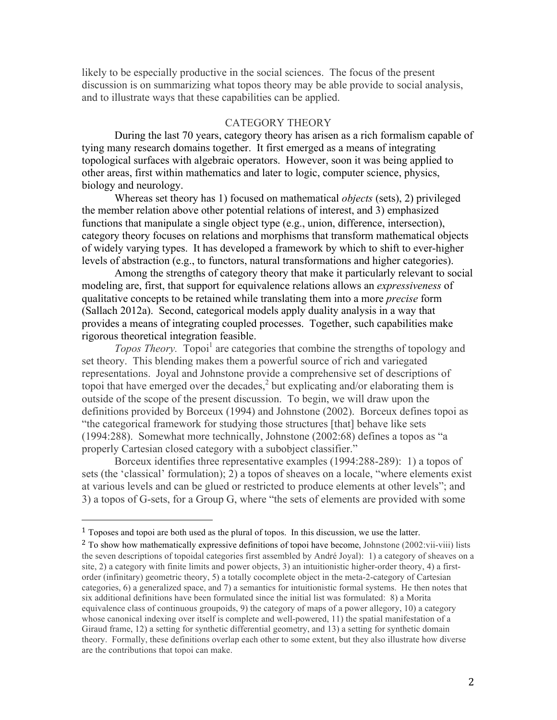likely to be especially productive in the social sciences. The focus of the present discussion is on summarizing what topos theory may be able provide to social analysis, and to illustrate ways that these capabilities can be applied.

### CATEGORY THEORY

During the last 70 years, category theory has arisen as a rich formalism capable of tying many research domains together. It first emerged as a means of integrating topological surfaces with algebraic operators. However, soon it was being applied to other areas, first within mathematics and later to logic, computer science, physics, biology and neurology.

Whereas set theory has 1) focused on mathematical *objects* (sets), 2) privileged the member relation above other potential relations of interest, and 3) emphasized functions that manipulate a single object type (e.g., union, difference, intersection), category theory focuses on relations and morphisms that transform mathematical objects of widely varying types. It has developed a framework by which to shift to ever-higher levels of abstraction (e.g., to functors, natural transformations and higher categories).

Among the strengths of category theory that make it particularly relevant to social modeling are, first, that support for equivalence relations allows an *expressiveness* of qualitative concepts to be retained while translating them into a more *precise* form (Sallach 2012a). Second, categorical models apply duality analysis in a way that provides a means of integrating coupled processes. Together, such capabilities make rigorous theoretical integration feasible.

*Topos Theory.* Topoi<sup>1</sup> are categories that combine the strengths of topology and set theory. This blending makes them a powerful source of rich and variegated representations. Joyal and Johnstone provide a comprehensive set of descriptions of topoi that have emerged over the decades, <sup>2</sup> but explicating and/or elaborating them is outside of the scope of the present discussion. To begin, we will draw upon the definitions provided by Borceux (1994) and Johnstone (2002). Borceux defines topoi as "the categorical framework for studying those structures [that] behave like sets (1994:288). Somewhat more technically, Johnstone (2002:68) defines a topos as "a properly Cartesian closed category with a subobject classifier."

Borceux identifies three representative examples (1994:288-289): 1) a topos of sets (the 'classical' formulation); 2) a topos of sheaves on a locale, "where elements exist at various levels and can be glued or restricted to produce elements at other levels"; and 3) a topos of G-sets, for a Group G, where "the sets of elements are provided with some

 

<sup>&</sup>lt;sup>1</sup> Toposes and topoi are both used as the plural of topos. In this discussion, we use the latter.

 $2$  To show how mathematically expressive definitions of topoi have become, Johnstone (2002:vii-viii) lists the seven descriptions of topoidal categories first assembled by André Joyal): 1) a category of sheaves on a site, 2) a category with finite limits and power objects, 3) an intuitionistic higher-order theory, 4) a firstorder (infinitary) geometric theory, 5) a totally cocomplete object in the meta-2-category of Cartesian categories, 6) a generalized space, and 7) a semantics for intuitionistic formal systems. He then notes that six additional definitions have been formulated since the initial list was formulated: 8) a Morita equivalence class of continuous groupoids, 9) the category of maps of a power allegory, 10) a category whose canonical indexing over itself is complete and well-powered, 11) the spatial manifestation of a Giraud frame, 12) a setting for synthetic differential geometry, and 13) a setting for synthetic domain theory. Formally, these definitions overlap each other to some extent, but they also illustrate how diverse are the contributions that topoi can make.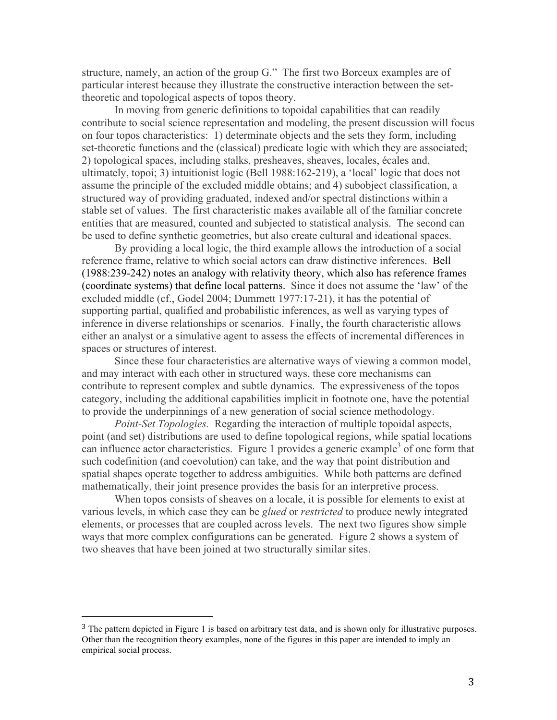structure, namely, an action of the group G." The first two Borceux examples are of particular interest because they illustrate the constructive interaction between the settheoretic and topological aspects of topos theory.

In moving from generic definitions to topoidal capabilities that can readily contribute to social science representation and modeling, the present discussion will focus on four topos characteristics: 1) determinate objects and the sets they form, including set-theoretic functions and the (classical) predicate logic with which they are associated; 2) topological spaces, including stalks, presheaves, sheaves, locales, écales and, ultimately, topoi; 3) intuitionist logic (Bell 1988:162-219), a 'local' logic that does not assume the principle of the excluded middle obtains; and 4) subobject classification, a structured way of providing graduated, indexed and/or spectral distinctions within a stable set of values. The first characteristic makes available all of the familiar concrete entities that are measured, counted and subjected to statistical analysis. The second can be used to define synthetic geometries, but also create cultural and ideational spaces.

By providing a local logic, the third example allows the introduction of a social reference frame, relative to which social actors can draw distinctive inferences. Bell (1988:239-242) notes an analogy with relativity theory, which also has reference frames (coordinate systems) that define local patterns. Since it does not assume the 'law' of the excluded middle (cf., Godel 2004; Dummett 1977:17-21), it has the potential of supporting partial, qualified and probabilistic inferences, as well as varying types of inference in diverse relationships or scenarios. Finally, the fourth characteristic allows either an analyst or a simulative agent to assess the effects of incremental differences in spaces or structures of interest.

Since these four characteristics are alternative ways of viewing a common model, and may interact with each other in structured ways, these core mechanisms can contribute to represent complex and subtle dynamics. The expressiveness of the topos category, including the additional capabilities implicit in footnote one, have the potential to provide the underpinnings of a new generation of social science methodology.

*Point-Set Topologies.* Regarding the interaction of multiple topoidal aspects, point (and set) distributions are used to define topological regions, while spatial locations can influence actor characteristics. Figure 1 provides a generic example<sup>3</sup> of one form that such codefinition (and coevolution) can take, and the way that point distribution and spatial shapes operate together to address ambiguities. While both patterns are defined mathematically, their joint presence provides the basis for an interpretive process.

When topos consists of sheaves on a locale, it is possible for elements to exist at various levels, in which case they can be *glued* or *restricted* to produce newly integrated elements, or processes that are coupled across levels. The next two figures show simple ways that more complex configurations can be generated. Figure 2 shows a system of two sheaves that have been joined at two structurally similar sites.

 

<sup>&</sup>lt;sup>3</sup> The pattern depicted in Figure 1 is based on arbitrary test data, and is shown only for illustrative purposes. Other than the recognition theory examples, none of the figures in this paper are intended to imply an empirical social process.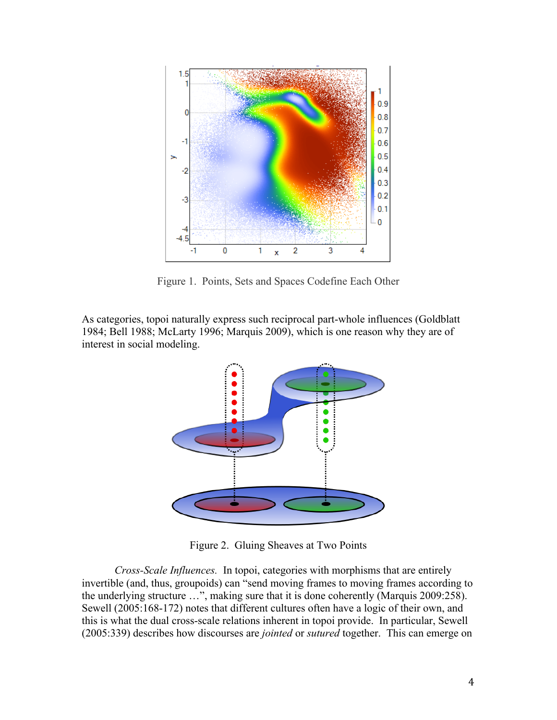

Figure 1. Points, Sets and Spaces Codefine Each Other

As categories, topoi naturally express such reciprocal part-whole influences (Goldblatt 1984; Bell 1988; McLarty 1996; Marquis 2009), which is one reason why they are of interest in social modeling.



Figure 2. Gluing Sheaves at Two Points

*Cross-Scale Influences.* In topoi, categories with morphisms that are entirely invertible (and, thus, groupoids) can "send moving frames to moving frames according to the underlying structure …", making sure that it is done coherently (Marquis 2009:258). Sewell (2005:168-172) notes that different cultures often have a logic of their own, and this is what the dual cross-scale relations inherent in topoi provide. In particular, Sewell (2005:339) describes how discourses are *jointed* or *sutured* together. This can emerge on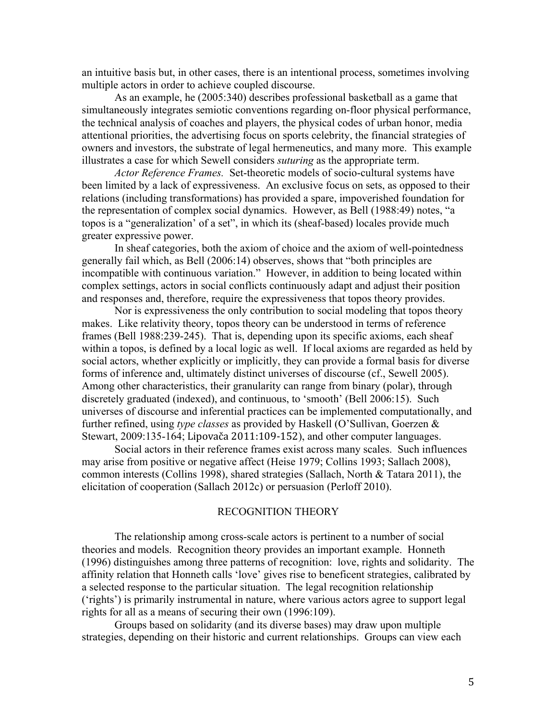an intuitive basis but, in other cases, there is an intentional process, sometimes involving multiple actors in order to achieve coupled discourse.

As an example, he (2005:340) describes professional basketball as a game that simultaneously integrates semiotic conventions regarding on-floor physical performance, the technical analysis of coaches and players, the physical codes of urban honor, media attentional priorities, the advertising focus on sports celebrity, the financial strategies of owners and investors, the substrate of legal hermeneutics, and many more. This example illustrates a case for which Sewell considers *suturing* as the appropriate term.

*Actor Reference Frames.* Set-theoretic models of socio-cultural systems have been limited by a lack of expressiveness. An exclusive focus on sets, as opposed to their relations (including transformations) has provided a spare, impoverished foundation for the representation of complex social dynamics. However, as Bell (1988:49) notes, "a topos is a "generalization' of a set", in which its (sheaf-based) locales provide much greater expressive power.

In sheaf categories, both the axiom of choice and the axiom of well-pointedness generally fail which, as Bell (2006:14) observes, shows that "both principles are incompatible with continuous variation." However, in addition to being located within complex settings, actors in social conflicts continuously adapt and adjust their position and responses and, therefore, require the expressiveness that topos theory provides.

Nor is expressiveness the only contribution to social modeling that topos theory makes. Like relativity theory, topos theory can be understood in terms of reference frames (Bell 1988:239-245). That is, depending upon its specific axioms, each sheaf within a topos, is defined by a local logic as well. If local axioms are regarded as held by social actors, whether explicitly or implicitly, they can provide a formal basis for diverse forms of inference and, ultimately distinct universes of discourse (cf., Sewell 2005). Among other characteristics, their granularity can range from binary (polar), through discretely graduated (indexed), and continuous, to 'smooth' (Bell 2006:15). Such universes of discourse and inferential practices can be implemented computationally, and further refined, using *type classes* as provided by Haskell (O'Sullivan, Goerzen & Stewart, 2009:135-164; Lipovača 2011:109-152), and other computer languages.

Social actors in their reference frames exist across many scales. Such influences may arise from positive or negative affect (Heise 1979; Collins 1993; Sallach 2008), common interests (Collins 1998), shared strategies (Sallach, North & Tatara 2011), the elicitation of cooperation (Sallach 2012c) or persuasion (Perloff 2010).

# RECOGNITION THEORY

The relationship among cross-scale actors is pertinent to a number of social theories and models. Recognition theory provides an important example. Honneth (1996) distinguishes among three patterns of recognition: love, rights and solidarity. The affinity relation that Honneth calls 'love' gives rise to beneficent strategies, calibrated by a selected response to the particular situation. The legal recognition relationship ('rights') is primarily instrumental in nature, where various actors agree to support legal rights for all as a means of securing their own (1996:109).

Groups based on solidarity (and its diverse bases) may draw upon multiple strategies, depending on their historic and current relationships. Groups can view each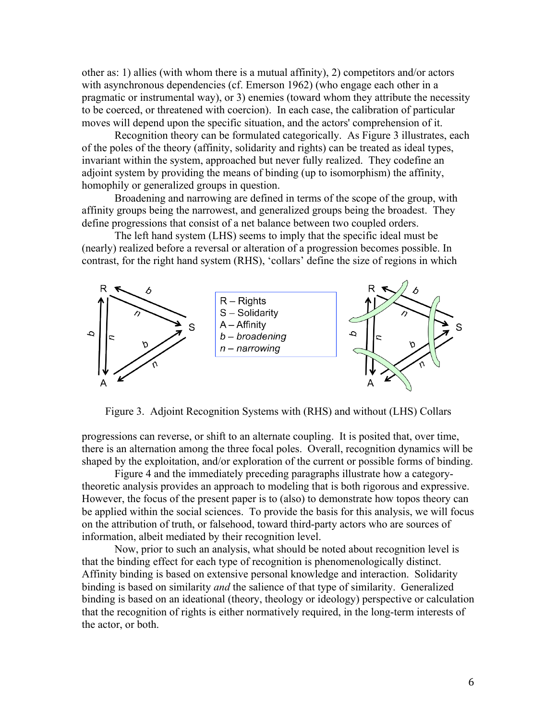other as: 1) allies (with whom there is a mutual affinity), 2) competitors and/or actors with asynchronous dependencies (cf. Emerson 1962) (who engage each other in a pragmatic or instrumental way), or 3) enemies (toward whom they attribute the necessity to be coerced, or threatened with coercion). In each case, the calibration of particular moves will depend upon the specific situation, and the actors' comprehension of it.

Recognition theory can be formulated categorically. As Figure 3 illustrates, each of the poles of the theory (affinity, solidarity and rights) can be treated as ideal types, invariant within the system, approached but never fully realized. They codefine an adjoint system by providing the means of binding (up to isomorphism) the affinity, homophily or generalized groups in question.

Broadening and narrowing are defined in terms of the scope of the group, with affinity groups being the narrowest, and generalized groups being the broadest. They define progressions that consist of a net balance between two coupled orders.

The left hand system (LHS) seems to imply that the specific ideal must be (nearly) realized before a reversal or alteration of a progression becomes possible. In contrast, for the right hand system (RHS), 'collars' define the size of regions in which



Figure 3. Adjoint Recognition Systems with (RHS) and without (LHS) Collars

progressions can reverse, or shift to an alternate coupling. It is posited that, over time, there is an alternation among the three focal poles. Overall, recognition dynamics will be shaped by the exploitation, and/or exploration of the current or possible forms of binding.

Figure 4 and the immediately preceding paragraphs illustrate how a categorytheoretic analysis provides an approach to modeling that is both rigorous and expressive. However, the focus of the present paper is to (also) to demonstrate how topos theory can be applied within the social sciences. To provide the basis for this analysis, we will focus on the attribution of truth, or falsehood, toward third-party actors who are sources of information, albeit mediated by their recognition level.

Now, prior to such an analysis, what should be noted about recognition level is that the binding effect for each type of recognition is phenomenologically distinct. Affinity binding is based on extensive personal knowledge and interaction. Solidarity binding is based on similarity *and* the salience of that type of similarity. Generalized binding is based on an ideational (theory, theology or ideology) perspective or calculation that the recognition of rights is either normatively required, in the long-term interests of the actor, or both.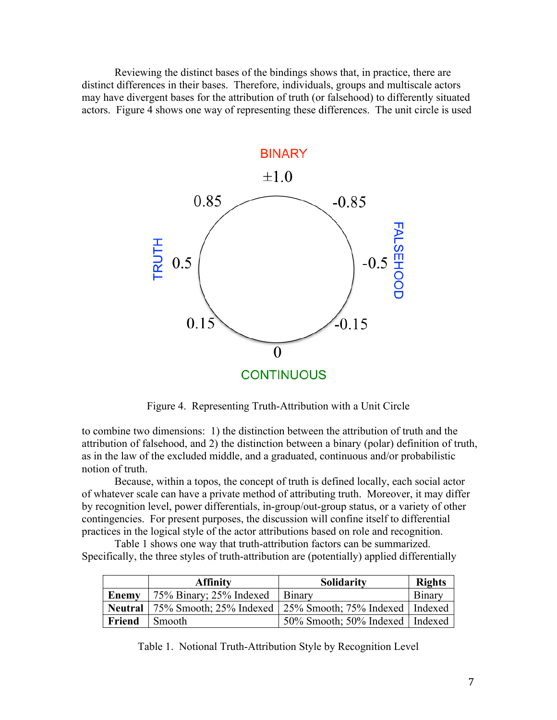Reviewing the distinct bases of the bindings shows that, in practice, there are distinct differences in their bases. Therefore, individuals, groups and multiscale actors may have divergent bases for the attribution of truth (or falsehood) to differently situated actors. Figure 4 shows one way of representing these differences. The unit circle is used



Figure 4. Representing Truth-Attribution with a Unit Circle

to combine two dimensions: 1) the distinction between the attribution of truth and the attribution of falsehood, and 2) the distinction between a binary (polar) definition of truth, as in the law of the excluded middle, and a graduated, continuous and/or probabilistic notion of truth.

Because, within a topos, the concept of truth is defined locally, each social actor of whatever scale can have a private method of attributing truth. Moreover, it may differ by recognition level, power differentials, in-group/out-group status, or a variety of other contingencies. For present purposes, the discussion will confine itself to differential practices in the logical style of the actor attributions based on role and recognition.

Table 1 shows one way that truth-attribution factors can be summarized. Specifically, the three styles of truth-attribution are (potentially) applied differentially

|        | <b>Affinity</b>                                                          | <b>Solidarity</b>                 | <b>Rights</b> |
|--------|--------------------------------------------------------------------------|-----------------------------------|---------------|
|        | <b>Enemy</b>   75% Binary; 25% Indexed   Binary                          |                                   | <b>Binary</b> |
|        | <b>Neutral</b> 75% Smooth; 25% Indexed 25% Smooth; 75% Indexed   Indexed |                                   |               |
| Friend | ∣ Smooth                                                                 | 50% Smooth; 50% Indexed   Indexed |               |

Table 1. Notional Truth-Attribution Style by Recognition Level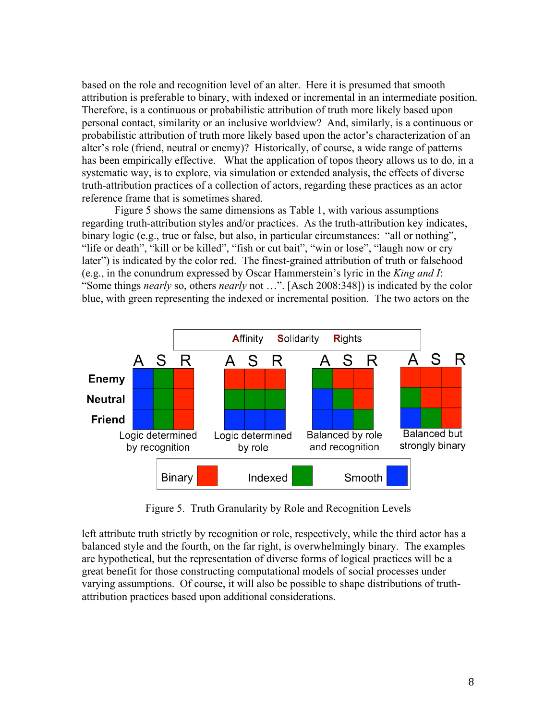based on the role and recognition level of an alter. Here it is presumed that smooth attribution is preferable to binary, with indexed or incremental in an intermediate position. Therefore, is a continuous or probabilistic attribution of truth more likely based upon personal contact, similarity or an inclusive worldview? And, similarly, is a continuous or probabilistic attribution of truth more likely based upon the actor's characterization of an alter's role (friend, neutral or enemy)? Historically, of course, a wide range of patterns has been empirically effective. What the application of topos theory allows us to do, in a systematic way, is to explore, via simulation or extended analysis, the effects of diverse truth-attribution practices of a collection of actors, regarding these practices as an actor reference frame that is sometimes shared.

Figure 5 shows the same dimensions as Table 1, with various assumptions regarding truth-attribution styles and/or practices. As the truth-attribution key indicates, binary logic (e.g., true or false, but also, in particular circumstances: "all or nothing", "life or death", "kill or be killed", "fish or cut bait", "win or lose", "laugh now or cry later") is indicated by the color red. The finest-grained attribution of truth or falsehood (e.g., in the conundrum expressed by Oscar Hammerstein's lyric in the *King and I*: "Some things *nearly* so, others *nearly* not …". [Asch 2008:348]) is indicated by the color blue, with green representing the indexed or incremental position. The two actors on the



Figure 5. Truth Granularity by Role and Recognition Levels

left attribute truth strictly by recognition or role, respectively, while the third actor has a balanced style and the fourth, on the far right, is overwhelmingly binary. The examples are hypothetical, but the representation of diverse forms of logical practices will be a great benefit for those constructing computational models of social processes under varying assumptions. Of course, it will also be possible to shape distributions of truthattribution practices based upon additional considerations.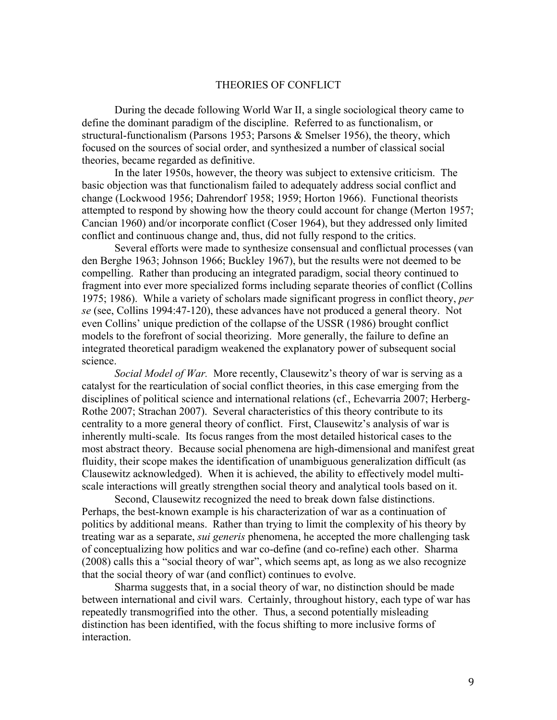## THEORIES OF CONFLICT

During the decade following World War II, a single sociological theory came to define the dominant paradigm of the discipline. Referred to as functionalism, or structural-functionalism (Parsons 1953; Parsons & Smelser 1956), the theory, which focused on the sources of social order, and synthesized a number of classical social theories, became regarded as definitive.

In the later 1950s, however, the theory was subject to extensive criticism. The basic objection was that functionalism failed to adequately address social conflict and change (Lockwood 1956; Dahrendorf 1958; 1959; Horton 1966). Functional theorists attempted to respond by showing how the theory could account for change (Merton 1957; Cancian 1960) and/or incorporate conflict (Coser 1964), but they addressed only limited conflict and continuous change and, thus, did not fully respond to the critics.

Several efforts were made to synthesize consensual and conflictual processes (van den Berghe 1963; Johnson 1966; Buckley 1967), but the results were not deemed to be compelling. Rather than producing an integrated paradigm, social theory continued to fragment into ever more specialized forms including separate theories of conflict (Collins 1975; 1986). While a variety of scholars made significant progress in conflict theory, *per se* (see, Collins 1994:47-120), these advances have not produced a general theory. Not even Collins' unique prediction of the collapse of the USSR (1986) brought conflict models to the forefront of social theorizing. More generally, the failure to define an integrated theoretical paradigm weakened the explanatory power of subsequent social science.

*Social Model of War.* More recently, Clausewitz's theory of war is serving as a catalyst for the rearticulation of social conflict theories, in this case emerging from the disciplines of political science and international relations (cf., Echevarria 2007; Herberg-Rothe 2007; Strachan 2007). Several characteristics of this theory contribute to its centrality to a more general theory of conflict. First, Clausewitz's analysis of war is inherently multi-scale. Its focus ranges from the most detailed historical cases to the most abstract theory. Because social phenomena are high-dimensional and manifest great fluidity, their scope makes the identification of unambiguous generalization difficult (as Clausewitz acknowledged). When it is achieved, the ability to effectively model multiscale interactions will greatly strengthen social theory and analytical tools based on it.

Second, Clausewitz recognized the need to break down false distinctions. Perhaps, the best-known example is his characterization of war as a continuation of politics by additional means. Rather than trying to limit the complexity of his theory by treating war as a separate, *sui generis* phenomena, he accepted the more challenging task of conceptualizing how politics and war co-define (and co-refine) each other. Sharma (2008) calls this a "social theory of war", which seems apt, as long as we also recognize that the social theory of war (and conflict) continues to evolve.

Sharma suggests that, in a social theory of war, no distinction should be made between international and civil wars. Certainly, throughout history, each type of war has repeatedly transmogrified into the other. Thus, a second potentially misleading distinction has been identified, with the focus shifting to more inclusive forms of interaction.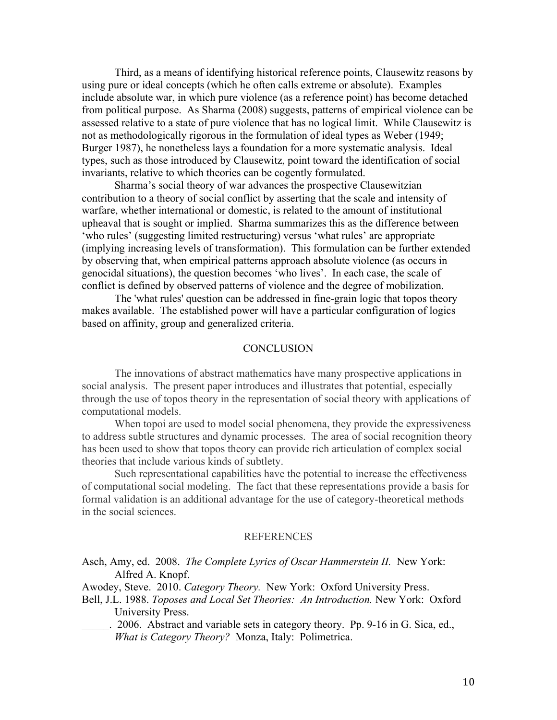Third, as a means of identifying historical reference points, Clausewitz reasons by using pure or ideal concepts (which he often calls extreme or absolute). Examples include absolute war, in which pure violence (as a reference point) has become detached from political purpose. As Sharma (2008) suggests, patterns of empirical violence can be assessed relative to a state of pure violence that has no logical limit. While Clausewitz is not as methodologically rigorous in the formulation of ideal types as Weber (1949; Burger 1987), he nonetheless lays a foundation for a more systematic analysis. Ideal types, such as those introduced by Clausewitz, point toward the identification of social invariants, relative to which theories can be cogently formulated.

Sharma's social theory of war advances the prospective Clausewitzian contribution to a theory of social conflict by asserting that the scale and intensity of warfare, whether international or domestic, is related to the amount of institutional upheaval that is sought or implied. Sharma summarizes this as the difference between 'who rules' (suggesting limited restructuring) versus 'what rules' are appropriate (implying increasing levels of transformation). This formulation can be further extended by observing that, when empirical patterns approach absolute violence (as occurs in genocidal situations), the question becomes 'who lives'. In each case, the scale of conflict is defined by observed patterns of violence and the degree of mobilization.

The 'what rules' question can be addressed in fine-grain logic that topos theory makes available. The established power will have a particular configuration of logics based on affinity, group and generalized criteria.

### **CONCLUSION**

The innovations of abstract mathematics have many prospective applications in social analysis. The present paper introduces and illustrates that potential, especially through the use of topos theory in the representation of social theory with applications of computational models.

When topoi are used to model social phenomena, they provide the expressiveness to address subtle structures and dynamic processes. The area of social recognition theory has been used to show that topos theory can provide rich articulation of complex social theories that include various kinds of subtlety.

Such representational capabilities have the potential to increase the effectiveness of computational social modeling. The fact that these representations provide a basis for formal validation is an additional advantage for the use of category-theoretical methods in the social sciences.

#### REFERENCES

Asch, Amy, ed. 2008. *The Complete Lyrics of Oscar Hammerstein II.* New York: Alfred A. Knopf.

Awodey, Steve. 2010. *Category Theory.* New York: Oxford University Press.

Bell, J.L. 1988. *Toposes and Local Set Theories: An Introduction.* New York: Oxford University Press.

. 2006. Abstract and variable sets in category theory. Pp. 9-16 in G. Sica, ed., *What is Category Theory?* Monza, Italy: Polimetrica.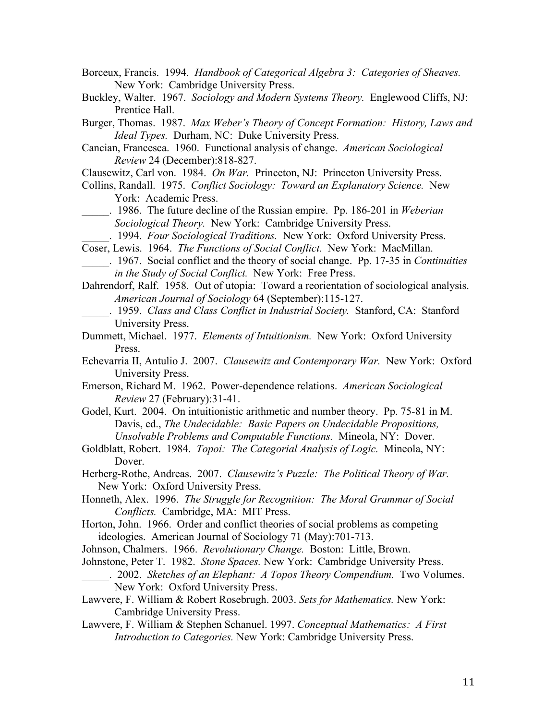- Borceux, Francis. 1994. *Handbook of Categorical Algebra 3: Categories of Sheaves.* New York: Cambridge University Press.
- Buckley, Walter. 1967. *Sociology and Modern Systems Theory.* Englewood Cliffs, NJ: Prentice Hall.
- Burger, Thomas. 1987. *Max Weber's Theory of Concept Formation: History, Laws and Ideal Types.* Durham, NC: Duke University Press.
- Cancian, Francesca. 1960. Functional analysis of change. *American Sociological Review* 24 (December):818-827.
- Clausewitz, Carl von. 1984. *On War.* Princeton, NJ: Princeton University Press.
- Collins, Randall. 1975. *Conflict Sociology: Toward an Explanatory Science.* New York: Academic Press.
- \_\_\_\_\_. 1986. The future decline of the Russian empire. Pp. 186-201 in *Weberian Sociological Theory.* New York: Cambridge University Press.
	- \_\_\_\_\_. 1994. *Four Sociological Traditions.* New York: Oxford University Press.
- Coser, Lewis. 1964. *The Functions of Social Conflict.* New York: MacMillan.
- \_\_\_\_\_. 1967. Social conflict and the theory of social change. Pp. 17-35 in *Continuities in the Study of Social Conflict.* New York: Free Press.
- Dahrendorf, Ralf. 1958. Out of utopia: Toward a reorientation of sociological analysis. *American Journal of Sociology* 64 (September):115-127.
	- \_\_\_\_\_. 1959. *Class and Class Conflict in Industrial Society.* Stanford, CA: Stanford University Press.
- Dummett, Michael. 1977. *Elements of Intuitionism.* New York: Oxford University Press.
- Echevarria II, Antulio J. 2007. *Clausewitz and Contemporary War.* New York: Oxford University Press.
- Emerson, Richard M. 1962. Power-dependence relations. *American Sociological Review* 27 (February):31-41.
- Godel, Kurt. 2004. On intuitionistic arithmetic and number theory. Pp. 75-81 in M. Davis, ed., *The Undecidable: Basic Papers on Undecidable Propositions, Unsolvable Problems and Computable Functions.* Mineola, NY: Dover.
- Goldblatt, Robert. 1984. *Topoi: The Categorial Analysis of Logic.* Mineola, NY: Dover.
- Herberg-Rothe, Andreas. 2007. *Clausewitz's Puzzle: The Political Theory of War.* New York: Oxford University Press.
- Honneth, Alex. 1996. *The Struggle for Recognition: The Moral Grammar of Social Conflicts.* Cambridge, MA: MIT Press.
- Horton, John. 1966. Order and conflict theories of social problems as competing ideologies. American Journal of Sociology 71 (May):701-713.
- Johnson, Chalmers. 1966. *Revolutionary Change.* Boston: Little, Brown.
- Johnstone, Peter T. 1982. *Stone Spaces.* New York: Cambridge University Press.
- \_\_\_\_\_. 2002. *Sketches of an Elephant: A Topos Theory Compendium.* Two Volumes. New York: Oxford University Press.
- Lawvere, F. William & Robert Rosebrugh. 2003. *Sets for Mathematics.* New York: Cambridge University Press.
- Lawvere, F. William & Stephen Schanuel. 1997. *Conceptual Mathematics: A First Introduction to Categories.* New York: Cambridge University Press.